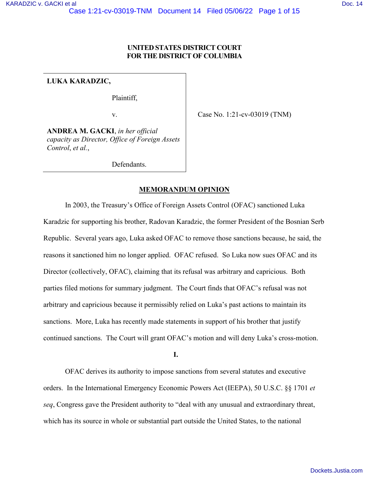# **UNITED STATES DISTRICT COURT FOR THE DISTRICT OF COLUMBIA**

**LUKA KARADZIC,**

Plaintiff,

v.

Case No. 1:21-cv-03019 (TNM)

**ANDREA M. GACKI**, *in her official capacity as Director, Office of Foreign Assets Control*, *et al.*,

Defendants.

# **MEMORANDUM OPINION**

In 2003, the Treasury's Office of Foreign Assets Control (OFAC) sanctioned Luka Karadzic for supporting his brother, Radovan Karadzic, the former President of the Bosnian Serb Republic. Several years ago, Luka asked OFAC to remove those sanctions because, he said, the reasons it sanctioned him no longer applied. OFAC refused. So Luka now sues OFAC and its Director (collectively, OFAC), claiming that its refusal was arbitrary and capricious. Both parties filed motions for summary judgment. The Court finds that OFAC's refusal was not arbitrary and capricious because it permissibly relied on Luka's past actions to maintain its sanctions. More, Luka has recently made statements in support of his brother that justify continued sanctions. The Court will grant OFAC's motion and will deny Luka's cross-motion.

**I.**

OFAC derives its authority to impose sanctions from several statutes and executive orders. In the International Emergency Economic Powers Act (IEEPA), 50 U.S.C. §§ 1701 *et seq*, Congress gave the President authority to "deal with any unusual and extraordinary threat, which has its source in whole or substantial part outside the United States, to the national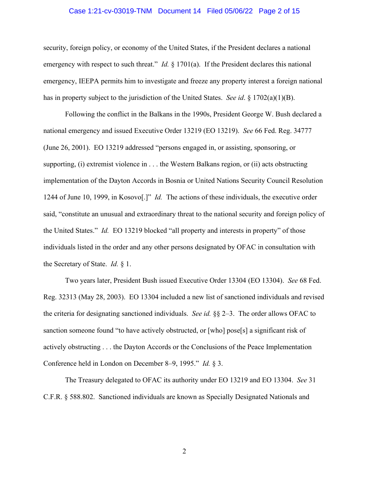#### Case 1:21-cv-03019-TNM Document 14 Filed 05/06/22 Page 2 of 15

security, foreign policy, or economy of the United States, if the President declares a national emergency with respect to such threat." *Id.* § 1701(a). If the President declares this national emergency, IEEPA permits him to investigate and freeze any property interest a foreign national has in property subject to the jurisdiction of the United States. *See id*. § 1702(a)(1)(B).

Following the conflict in the Balkans in the 1990s, President George W. Bush declared a national emergency and issued Executive Order 13219 (EO 13219). *See* 66 Fed. Reg. 34777 (June 26, 2001). EO 13219 addressed "persons engaged in, or assisting, sponsoring, or supporting, (i) extremist violence in . . . the Western Balkans region, or (ii) acts obstructing implementation of the Dayton Accords in Bosnia or United Nations Security Council Resolution 1244 of June 10, 1999, in Kosovo[.]" *Id.* The actions of these individuals, the executive order said, "constitute an unusual and extraordinary threat to the national security and foreign policy of the United States." *Id.* EO 13219 blocked "all property and interests in property" of those individuals listed in the order and any other persons designated by OFAC in consultation with the Secretary of State. *Id.* § 1.

Two years later, President Bush issued Executive Order 13304 (EO 13304). *See* 68 Fed. Reg. 32313 (May 28, 2003). EO 13304 included a new list of sanctioned individuals and revised the criteria for designating sanctioned individuals. *See id.* §§ 2–3. The order allows OFAC to sanction someone found "to have actively obstructed, or [who] pose[s] a significant risk of actively obstructing . . . the Dayton Accords or the Conclusions of the Peace Implementation Conference held in London on December 8–9, 1995." *Id.* § 3.

The Treasury delegated to OFAC its authority under EO 13219 and EO 13304. *See* 31 C.F.R. § 588.802. Sanctioned individuals are known as Specially Designated Nationals and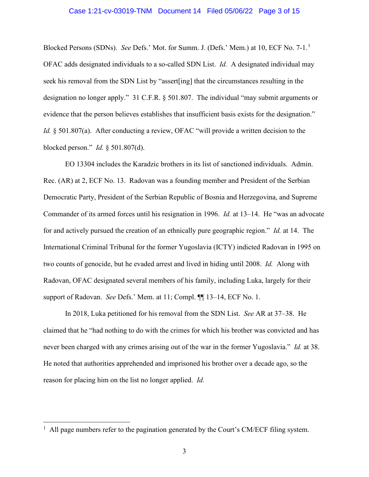#### Case 1:21-cv-03019-TNM Document 14 Filed 05/06/22 Page 3 of 15

Blocked Persons (SDNs). *See* Defs.' Mot. for Summ. J. (Defs.' Mem.) at 10, ECF No. 7-1.[1](#page-2-0) OFAC adds designated individuals to a so-called SDN List. *Id.* A designated individual may seek his removal from the SDN List by "assert[ing] that the circumstances resulting in the designation no longer apply." 31 C.F.R. § 501.807. The individual "may submit arguments or evidence that the person believes establishes that insufficient basis exists for the designation." *Id.* § 501.807(a). After conducting a review, OFAC "will provide a written decision to the blocked person." *Id.* § 501.807(d).

 EO 13304 includes the Karadzic brothers in its list of sanctioned individuals. Admin. Rec. (AR) at 2, ECF No. 13. Radovan was a founding member and President of the Serbian Democratic Party, President of the Serbian Republic of Bosnia and Herzegovina, and Supreme Commander of its armed forces until his resignation in 1996. *Id.* at 13–14.He "was an advocate for and actively pursued the creation of an ethnically pure geographic region." *Id.* at 14.The International Criminal Tribunal for the former Yugoslavia (ICTY) indicted Radovan in 1995 on two counts of genocide, but he evaded arrest and lived in hiding until 2008. *Id.* Along with Radovan, OFAC designated several members of his family, including Luka, largely for their support of Radovan. *See* Defs.' Mem. at 11; Compl. ¶¶ 13–14, ECF No. 1.

 In 2018, Luka petitioned for his removal from the SDN List. *See* AR at 37–38. He claimed that he "had nothing to do with the crimes for which his brother was convicted and has never been charged with any crimes arising out of the war in the former Yugoslavia." *Id.* at 38. He noted that authorities apprehended and imprisoned his brother over a decade ago, so the reason for placing him on the list no longer applied. *Id.* 

<span id="page-2-0"></span> $<sup>1</sup>$  All page numbers refer to the pagination generated by the Court's CM/ECF filing system.</sup>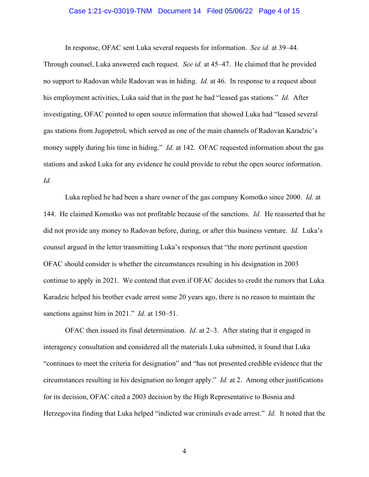#### Case 1:21-cv-03019-TNM Document 14 Filed 05/06/22 Page 4 of 15

In response, OFAC sent Luka several requests for information. *See id.* at 39–44.

Through counsel, Luka answered each request. *See id.* at 45–47. He claimed that he provided no support to Radovan while Radovan was in hiding. *Id.* at 46. In response to a request about his employment activities, Luka said that in the past he had "leased gas stations." *Id.* After investigating, OFAC pointed to open source information that showed Luka had "leased several gas stations from Jugopetrol, which served as one of the main channels of Radovan Karadzic's money supply during his time in hiding." *Id.* at 142. OFAC requested information about the gas stations and asked Luka for any evidence he could provide to rebut the open source information. *Id.* 

Luka replied he had been a share owner of the gas company Komotko since 2000. *Id.* at 144. He claimed Komotko was not profitable because of the sanctions. *Id.* He reasserted that he did not provide any money to Radovan before, during, or after this business venture. *Id.* Luka's counsel argued in the letter transmitting Luka's responses that "the more pertinent question OFAC should consider is whether the circumstances resulting in his designation in 2003 continue to apply in 2021. We contend that even if OFAC decides to credit the rumors that Luka Karadzic helped his brother evade arrest some 20 years ago, there is no reason to maintain the sanctions against him in 2021." *Id.* at 150–51.

OFAC then issued its final determination. *Id.* at 2–3. After stating that it engaged in interagency consultation and considered all the materials Luka submitted, it found that Luka "continues to meet the criteria for designation" and "has not presented credible evidence that the circumstances resulting in his designation no longer apply." *Id.* at 2. Among other justifications for its decision, OFAC cited a 2003 decision by the High Representative to Bosnia and Herzegovina finding that Luka helped "indicted war criminals evade arrest." *Id.* It noted that the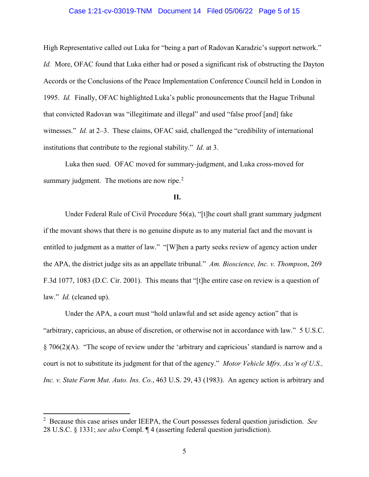#### Case 1:21-cv-03019-TNM Document 14 Filed 05/06/22 Page 5 of 15

High Representative called out Luka for "being a part of Radovan Karadzic's support network." *Id.* More, OFAC found that Luka either had or posed a significant risk of obstructing the Dayton Accords or the Conclusions of the Peace Implementation Conference Council held in London in 1995. *Id.* Finally, OFAC highlighted Luka's public pronouncements that the Hague Tribunal that convicted Radovan was "illegitimate and illegal" and used "false proof [and] fake witnesses." *Id.* at 2–3. These claims, OFAC said, challenged the "credibility of international" institutions that contribute to the regional stability." *Id.* at 3.

 Luka then sued. OFAC moved for summary-judgment, and Luka cross-moved for summary judgment. The motions are now ripe. $2$ 

# **II.**

Under Federal Rule of Civil Procedure 56(a), "[t]he court shall grant summary judgment if the movant shows that there is no genuine dispute as to any material fact and the movant is entitled to judgment as a matter of law." "[W]hen a party seeks review of agency action under the APA, the district judge sits as an appellate tribunal." *Am. Bioscience, Inc. v. Thompson*, 269 F.3d 1077, 1083 (D.C. Cir. 2001). This means that "[t]he entire case on review is a question of law." *Id.* (cleaned up).

Under the APA, a court must "hold unlawful and set aside agency action" that is "arbitrary, capricious, an abuse of discretion, or otherwise not in accordance with law." 5 U.S.C. § 706(2)(A). "The scope of review under the 'arbitrary and capricious' standard is narrow and a court is not to substitute its judgment for that of the agency." *Motor Vehicle Mfrs. Ass'n of U.S., Inc. v. State Farm Mut. Auto. Ins. Co.*, 463 U.S. 29, 43 (1983). An agency action is arbitrary and

<span id="page-4-0"></span><sup>2</sup> Because this case arises under IEEPA, the Court possesses federal question jurisdiction. *See*  28 U.S.C. § 1331; *see also* Compl. ¶ 4 (asserting federal question jurisdiction).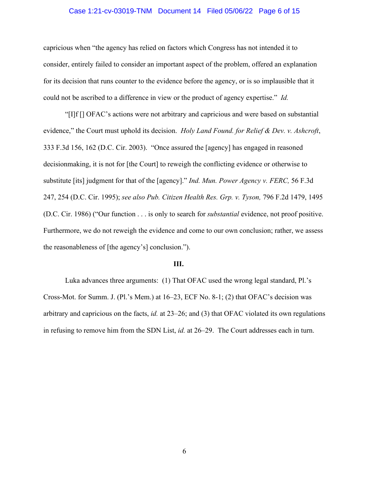### Case 1:21-cv-03019-TNM Document 14 Filed 05/06/22 Page 6 of 15

capricious when "the agency has relied on factors which Congress has not intended it to consider, entirely failed to consider an important aspect of the problem, offered an explanation for its decision that runs counter to the evidence before the agency, or is so implausible that it could not be ascribed to a difference in view or the product of agency expertise." *Id.* 

"[I]f [] OFAC's actions were not arbitrary and capricious and were based on substantial evidence," the Court must uphold its decision. *Holy Land Found. for Relief & Dev. v. Ashcroft*, 333 F.3d 156, 162 (D.C. Cir. 2003). "Once assured the [agency] has engaged in reasoned decisionmaking, it is not for [the Court] to reweigh the conflicting evidence or otherwise to substitute [its] judgment for that of the [agency]." *Ind. Mun. Power Agency v. FERC,* 56 F.3d 247, 254 (D.C. Cir. 1995); *see also Pub. Citizen Health Res. Grp. v. Tyson,* 796 F.2d 1479, 1495 (D.C. Cir. 1986) ("Our function . . . is only to search for *substantial* evidence, not proof positive. Furthermore, we do not reweigh the evidence and come to our own conclusion; rather, we assess the reasonableness of [the agency's] conclusion.").

#### **III.**

Luka advances three arguments: (1) That OFAC used the wrong legal standard, Pl.'s Cross-Mot. for Summ. J. (Pl.'s Mem.) at 16–23, ECF No. 8-1; (2) that OFAC's decision was arbitrary and capricious on the facts, *id.* at 23–26; and (3) that OFAC violated its own regulations in refusing to remove him from the SDN List, *id.* at 26–29. The Court addresses each in turn.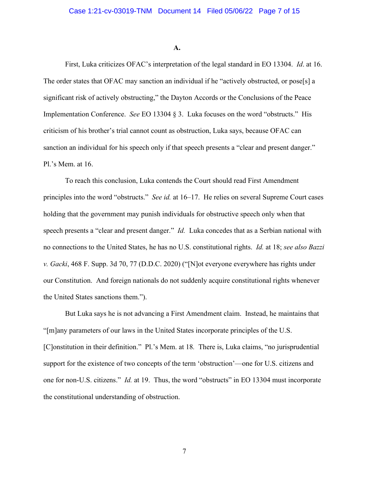#### **A.**

First, Luka criticizes OFAC's interpretation of the legal standard in EO 13304. *Id*. at 16. The order states that OFAC may sanction an individual if he "actively obstructed, or pose[s] a significant risk of actively obstructing," the Dayton Accords or the Conclusions of the Peace Implementation Conference. *See* EO 13304 § 3. Luka focuses on the word "obstructs." His criticism of his brother's trial cannot count as obstruction, Luka says, because OFAC can sanction an individual for his speech only if that speech presents a "clear and present danger." Pl.'s Mem. at 16.

To reach this conclusion, Luka contends the Court should read First Amendment principles into the word "obstructs." *See id.* at 16–17. He relies on several Supreme Court cases holding that the government may punish individuals for obstructive speech only when that speech presents a "clear and present danger." *Id.* Luka concedes that as a Serbian national with no connections to the United States, he has no U.S. constitutional rights. *Id.* at 18; *see also Bazzi v. Gacki*, 468 F. Supp. 3d 70, 77 (D.D.C. 2020) ("[N]ot everyone everywhere has rights under our Constitution. And foreign nationals do not suddenly acquire constitutional rights whenever the United States sanctions them.").

But Luka says he is not advancing a First Amendment claim. Instead, he maintains that "[m]any parameters of our laws in the United States incorporate principles of the U.S. [C]onstitution in their definition." Pl.'s Mem. at 18*.* There is, Luka claims, "no jurisprudential support for the existence of two concepts of the term 'obstruction'—one for U.S. citizens and one for non-U.S. citizens." *Id.* at 19. Thus, the word "obstructs" in EO 13304 must incorporate the constitutional understanding of obstruction.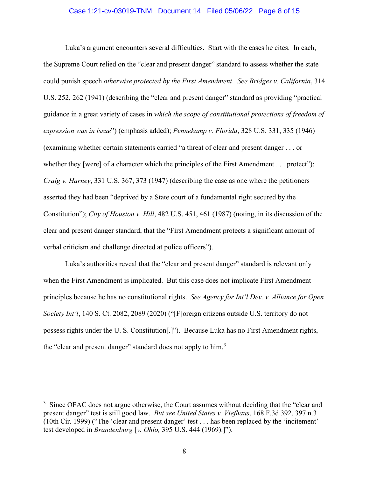### Case 1:21-cv-03019-TNM Document 14 Filed 05/06/22 Page 8 of 15

Luka's argument encounters several difficulties. Start with the cases he cites. In each, the Supreme Court relied on the "clear and present danger" standard to assess whether the state could punish speech *otherwise protected by the First Amendment*. *See Bridges v. California*, 314 U.S. 252, 262 (1941) (describing the "clear and present danger" standard as providing "practical guidance in a great variety of cases in *which the scope of constitutional protections of freedom of expression was in issue*") (emphasis added); *Pennekamp v. Florida*, 328 U.S. 331, 335 (1946) (examining whether certain statements carried "a threat of clear and present danger . . . or whether they [were] of a character which the principles of the First Amendment . . . protect"); *Craig v. Harney*, 331 U.S. 367, 373 (1947) (describing the case as one where the petitioners asserted they had been "deprived by a State court of a fundamental right secured by the Constitution"); *City of Houston v. Hill*, 482 U.S. 451, 461 (1987) (noting, in its discussion of the clear and present danger standard, that the "First Amendment protects a significant amount of verbal criticism and challenge directed at police officers").

Luka's authorities reveal that the "clear and present danger" standard is relevant only when the First Amendment is implicated. But this case does not implicate First Amendment principles because he has no constitutional rights. *See Agency for Int'l Dev. v. Alliance for Open Society Int'l*, 140 S. Ct. 2082, 2089 (2020) ("[F]oreign citizens outside U.S. territory do not possess rights under the U. S. Constitution[.]"). Because Luka has no First Amendment rights, the "clear and present danger" standard does not apply to him.<sup>[3](#page-7-0)</sup>

<span id="page-7-0"></span> $3$  Since OFAC does not argue otherwise, the Court assumes without deciding that the "clear and present danger" test is still good law. *But see United States v. Viefhaus*, 168 F.3d 392, 397 n.3 (10th Cir. 1999) ("The 'clear and present danger' test . . . has been replaced by the 'incitement' test developed in *Brandenburg* [*v. Ohio,* 395 U.S. 444 (1969).]").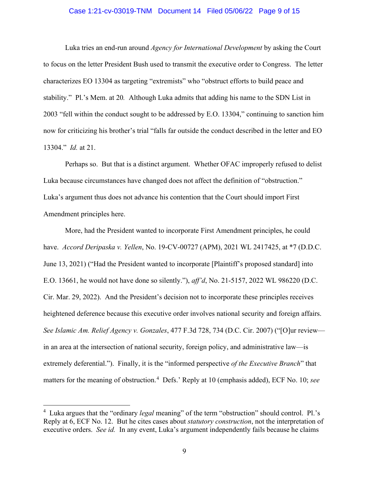#### Case 1:21-cv-03019-TNM Document 14 Filed 05/06/22 Page 9 of 15

Luka tries an end-run around *Agency for International Development* by asking the Court to focus on the letter President Bush used to transmit the executive order to Congress. The letter characterizes EO 13304 as targeting "extremists" who "obstruct efforts to build peace and stability." Pl.'s Mem. at 20*.* Although Luka admits that adding his name to the SDN List in 2003 "fell within the conduct sought to be addressed by E.O. 13304," continuing to sanction him now for criticizing his brother's trial "falls far outside the conduct described in the letter and EO 13304." *Id.* at 21.

 Perhaps so. But that is a distinct argument. Whether OFAC improperly refused to delist Luka because circumstances have changed does not affect the definition of "obstruction." Luka's argument thus does not advance his contention that the Court should import First Amendment principles here.

More, had the President wanted to incorporate First Amendment principles, he could have. *Accord Deripaska v. Yellen*, No. 19-CV-00727 (APM), 2021 WL 2417425, at \*7 (D.D.C. June 13, 2021) ("Had the President wanted to incorporate [Plaintiff's proposed standard] into E.O. 13661, he would not have done so silently."), *aff'd*, No. 21-5157, 2022 WL 986220 (D.C. Cir. Mar. 29, 2022). And the President's decision not to incorporate these principles receives heightened deference because this executive order involves national security and foreign affairs. *See Islamic Am. Relief Agency v. Gonzales*, 477 F.3d 728, 734 (D.C. Cir. 2007) ("[O]ur review in an area at the intersection of national security, foreign policy, and administrative law—is extremely deferential."). Finally, it is the "informed perspective *of the Executive Branch*" that matters for the meaning of obstruction.<sup>[4](#page-8-0)</sup> Defs.' Reply at 10 (emphasis added), ECF No. 10; *see* 

<span id="page-8-0"></span><sup>&</sup>lt;sup>4</sup> Luka argues that the "ordinary *legal* meaning" of the term "obstruction" should control. Pl.'s Reply at 6, ECF No. 12. But he cites cases about *statutory construction*, not the interpretation of executive orders. *See id.* In any event, Luka's argument independently fails because he claims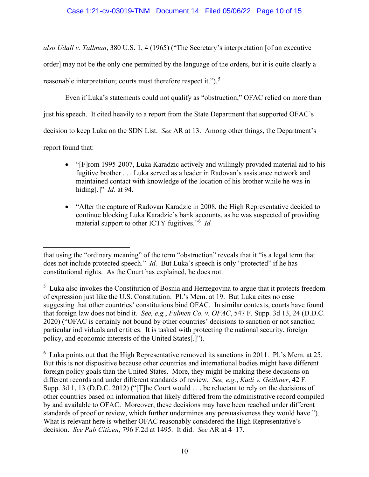*also Udall v. Tallman*, 380 U.S. 1, 4 (1965) ("The Secretary's interpretation [of an executive order] may not be the only one permitted by the language of the orders, but it is quite clearly a reasonable interpretation; courts must therefore respect it.").<sup>[5](#page-9-0)</sup>

Even if Luka's statements could not qualify as "obstruction," OFAC relied on more than just his speech. It cited heavily to a report from the State Department that supported OFAC's decision to keep Luka on the SDN List. *See* AR at 13. Among other things, the Department's report found that:

- "[F]rom 1995-2007, Luka Karadzic actively and willingly provided material aid to his fugitive brother . . . Luka served as a leader in Radovan's assistance network and maintained contact with knowledge of the location of his brother while he was in hiding[.]" *Id.* at 94.
- "After the capture of Radovan Karadzic in 2008, the High Representative decided to continue blocking Luka Karadzic's bank accounts, as he was suspected of providing material support to other ICTY fugitives." [6](#page-9-1) *Id.*

<span id="page-9-1"></span><sup>6</sup> Luka points out that the High Representative removed its sanctions in 2011. Pl.'s Mem. at 25. But this is not dispositive because other countries and international bodies might have different foreign policy goals than the United States. More, they might be making these decisions on different records and under different standards of review. *See, e.g.*, *Kadi v. Geithner*, 42 F. Supp. 3d 1, 13 (D.D.C. 2012) ("[T]he Court would . . . be reluctant to rely on the decisions of other countries based on information that likely differed from the administrative record compiled by and available to OFAC. Moreover, these decisions may have been reached under different standards of proof or review, which further undermines any persuasiveness they would have."). What is relevant here is whether OFAC reasonably considered the High Representative's decision. *See Pub Citizen*, 796 F.2d at 1495. It did. *See* AR at 4–17.

that using the "ordinary meaning" of the term "obstruction" reveals that it "is a legal term that does not include protected speech." *Id.* But Luka's speech is only "protected" if he has constitutional rights. As the Court has explained, he does not.

<span id="page-9-0"></span><sup>&</sup>lt;sup>5</sup> Luka also invokes the Constitution of Bosnia and Herzegovina to argue that it protects freedom of expression just like the U.S. Constitution. Pl.'s Mem. at 19. But Luka cites no case suggesting that other countries' constitutions bind OFAC. In similar contexts, courts have found that foreign law does not bind it. *See, e.g.*, *Fulmen Co. v. OFAC*, 547 F. Supp. 3d 13, 24 (D.D.C. 2020) ("OFAC is certainly not bound by other countries' decisions to sanction or not sanction particular individuals and entities. It is tasked with protecting the national security, foreign policy, and economic interests of the United States[.]").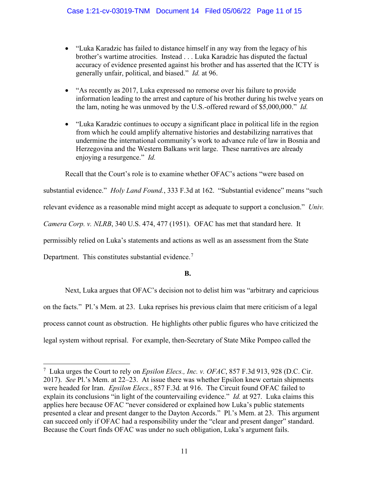- "Luka Karadzic has failed to distance himself in any way from the legacy of his brother's wartime atrocities. Instead . . . Luka Karadzic has disputed the factual accuracy of evidence presented against his brother and has asserted that the ICTY is generally unfair, political, and biased." *Id.* at 96.
- "As recently as 2017, Luka expressed no remorse over his failure to provide information leading to the arrest and capture of his brother during his twelve years on the lam, noting he was unmoved by the U.S.-offered reward of \$5,000,000." *Id.*
- "Luka Karadzic continues to occupy a significant place in political life in the region from which he could amplify alternative histories and destabilizing narratives that undermine the international community's work to advance rule of law in Bosnia and Herzegovina and the Western Balkans writ large. These narratives are already enjoying a resurgence." *Id.*

Recall that the Court's role is to examine whether OFAC's actions "were based on substantial evidence." *Holy Land Found.*, 333 F.3d at 162. "Substantial evidence" means "such relevant evidence as a reasonable mind might accept as adequate to support a conclusion." *Univ. Camera Corp. v. NLRB*, 340 U.S. 474, 477 (1951). OFAC has met that standard here. It permissibly relied on Luka's statements and actions as well as an assessment from the State Department. This constitutes substantial evidence.<sup>[7](#page-10-0)</sup>

# **B.**

Next, Luka argues that OFAC's decision not to delist him was "arbitrary and capricious on the facts." Pl.'s Mem. at 23. Luka reprises his previous claim that mere criticism of a legal process cannot count as obstruction. He highlights other public figures who have criticized the legal system without reprisal. For example, then-Secretary of State Mike Pompeo called the

<span id="page-10-0"></span><sup>7</sup> Luka urges the Court to rely on *Epsilon Elecs., Inc. v. OFAC*, 857 F.3d 913, 928 (D.C. Cir. 2017). *See* Pl.'s Mem. at 22–23. At issue there was whether Epsilon knew certain shipments were headed for Iran. *Epsilon Elecs.*, 857 F.3d*.* at 916. The Circuit found OFAC failed to explain its conclusions "in light of the countervailing evidence." *Id.* at 927. Luka claims this applies here because OFAC "never considered or explained how Luka's public statements presented a clear and present danger to the Dayton Accords." Pl.'s Mem. at 23. This argument can succeed only if OFAC had a responsibility under the "clear and present danger" standard. Because the Court finds OFAC was under no such obligation, Luka's argument fails.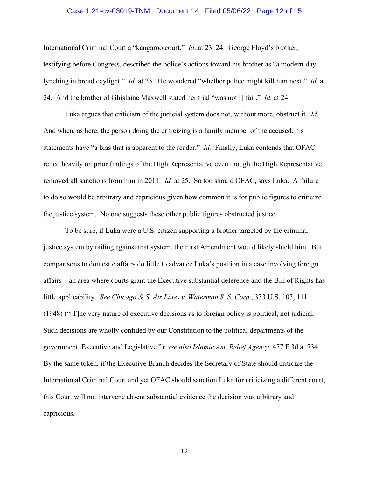### Case 1:21-cv-03019-TNM Document 14 Filed 05/06/22 Page 12 of 15

International Criminal Court a "kangaroo court." *Id*. at 23–24. George Floyd's brother, testifying before Congress, described the police's actions toward his brother as "a modern-day lynching in broad daylight." *Id.* at 23. He wondered "whether police might kill him next." *Id.* at 24. And the brother of Ghislaine Maxwell stated her trial "was not [] fair." *Id.* at 24.

Luka argues that criticism of the judicial system does not, without more, obstruct it. *Id.*  And when, as here, the person doing the criticizing is a family member of the accused, his statements have "a bias that is apparent to the reader." *Id.* Finally, Luka contends that OFAC relied heavily on prior findings of the High Representative even though the High Representative removed all sanctions from him in 2011. *Id.* at 25. So too should OFAC, says Luka. A failure to do so would be arbitrary and capricious given how common it is for public figures to criticize the justice system. No one suggests these other public figures obstructed justice.

To be sure, if Luka were a U.S. citizen supporting a brother targeted by the criminal justice system by railing against that system, the First Amendment would likely shield him. But comparisons to domestic affairs do little to advance Luka's position in a case involving foreign affairs—an area where courts grant the Executive substantial deference and the Bill of Rights has little applicability. *See Chicago & S. Air Lines v. Waterman S. S. Corp.*, 333 U.S. 103, 111 (1948) ("[T]he very nature of executive decisions as to foreign policy is political, not judicial. Such decisions are wholly confided by our Constitution to the political departments of the government, Executive and Legislative."); *see also Islamic Am. Relief Agency*, 477 F.3d at 734. By the same token, if the Executive Branch decides the Secretary of State should criticize the International Criminal Court and yet OFAC should sanction Luka for criticizing a different court, this Court will not intervene absent substantial evidence the decision was arbitrary and capricious.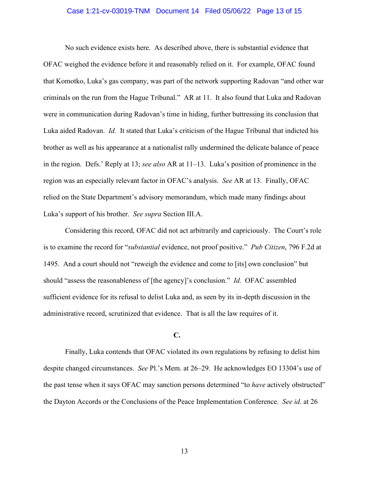### Case 1:21-cv-03019-TNM Document 14 Filed 05/06/22 Page 13 of 15

No such evidence exists here. As described above, there is substantial evidence that OFAC weighed the evidence before it and reasonably relied on it. For example, OFAC found that Komotko, Luka's gas company, was part of the network supporting Radovan "and other war criminals on the run from the Hague Tribunal." AR at 11. It also found that Luka and Radovan were in communication during Radovan's time in hiding, further buttressing its conclusion that Luka aided Radovan. *Id.* It stated that Luka's criticism of the Hague Tribunal that indicted his brother as well as his appearance at a nationalist rally undermined the delicate balance of peace in the region. Defs.' Reply at 13; *see also* AR at 11–13. Luka's position of prominence in the region was an especially relevant factor in OFAC's analysis. *See* AR at 13. Finally, OFAC relied on the State Department's advisory memorandum, which made many findings about Luka's support of his brother. *See supra* Section III.A.

Considering this record, OFAC did not act arbitrarily and capriciously. The Court's role is to examine the record for "*substantial* evidence, not proof positive." *Pub Citizen*, 796 F.2d at 1495. And a court should not "reweigh the evidence and come to [its] own conclusion" but should "assess the reasonableness of [the agency]'s conclusion." *Id.* OFAC assembled sufficient evidence for its refusal to delist Luka and, as seen by its in-depth discussion in the administrative record, scrutinized that evidence. That is all the law requires of it.

#### **C.**

Finally, Luka contends that OFAC violated its own regulations by refusing to delist him despite changed circumstances. *See* Pl.'s Mem. at 26–29. He acknowledges EO 13304's use of the past tense when it says OFAC may sanction persons determined "to *have* actively obstructed" the Dayton Accords or the Conclusions of the Peace Implementation Conference. *See id*. at 26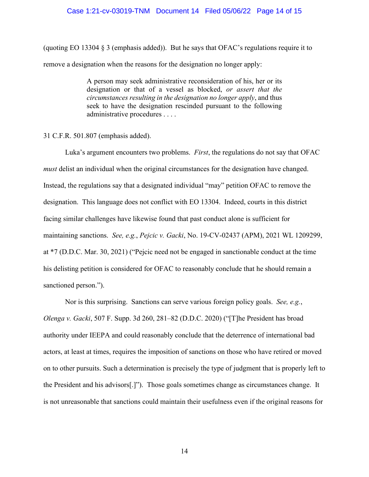#### Case 1:21-cv-03019-TNM Document 14 Filed 05/06/22 Page 14 of 15

(quoting EO 13304 § 3 (emphasis added)). But he says that OFAC's regulations require it to remove a designation when the reasons for the designation no longer apply:

> A person may seek administrative reconsideration of his, her or its designation or that of a vessel as blocked, *or assert that the circumstances resulting in the designation no longer apply*, and thus seek to have the designation rescinded pursuant to the following administrative procedures . . . .

## 31 C.F.R. 501.807 (emphasis added).

Luka's argument encounters two problems. *First*, the regulations do not say that OFAC *must* delist an individual when the original circumstances for the designation have changed. Instead, the regulations say that a designated individual "may" petition OFAC to remove the designation. This language does not conflict with EO 13304. Indeed, courts in this district facing similar challenges have likewise found that past conduct alone is sufficient for maintaining sanctions. *See, e.g.*, *Pejcic v. Gacki*, No. 19-CV-02437 (APM), 2021 WL 1209299, at \*7 (D.D.C. Mar. 30, 2021) ("Pejcic need not be engaged in sanctionable conduct at the time his delisting petition is considered for OFAC to reasonably conclude that he should remain a sanctioned person.").

Nor is this surprising. Sanctions can serve various foreign policy goals. *See, e.g.*, *Olenga v. Gacki*, 507 F. Supp. 3d 260, 281–82 (D.D.C. 2020) ("[T]he President has broad authority under IEEPA and could reasonably conclude that the deterrence of international bad actors, at least at times, requires the imposition of sanctions on those who have retired or moved on to other pursuits. Such a determination is precisely the type of judgment that is properly left to the President and his advisors[.]"). Those goals sometimes change as circumstances change. It is not unreasonable that sanctions could maintain their usefulness even if the original reasons for